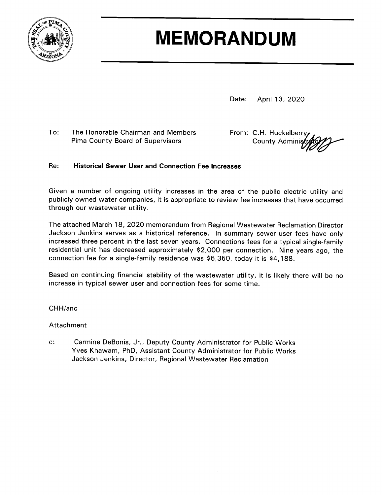

# **MEMORANDUM**

Date: April 13, 2020

 $To:$ The Honorable Chairman and Members Pima County Board of Supervisors

From: C.H. Huckelberry **County Adminis** 

#### Re: **Historical Sewer User and Connection Fee Increases**

Given a number of ongoing utility increases in the area of the public electric utility and publicly owned water companies, it is appropriate to review fee increases that have occurred through our wastewater utility.

The attached March 18, 2020 memorandum from Regional Wastewater Reclamation Director Jackson Jenkins serves as a historical reference. In summary sewer user fees have only increased three percent in the last seven years. Connections fees for a typical single-family residential unit has decreased approximately \$2,000 per connection. Nine years ago, the connection fee for a single-family residence was \$6,350, today it is \$4,188.

Based on continuing financial stability of the wastewater utility, it is likely there will be no increase in typical sewer user and connection fees for some time.

CHH/anc

Attachment

 $C^*$ Carmine DeBonis, Jr., Deputy County Administrator for Public Works Yves Khawam, PhD, Assistant County Administrator for Public Works Jackson Jenkins, Director, Regional Wastewater Reclamation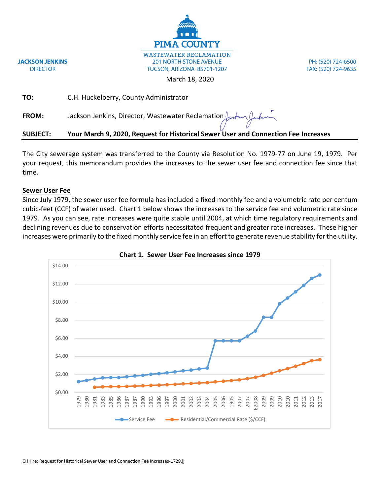

PH: (520) 724-6500 FAX: (520) 724-9635

March 18, 2020

| <b>SUBJECT:</b> | Your March 9, 2020, Request for Historical Sewer User and Connection Fee Increases             |
|-----------------|------------------------------------------------------------------------------------------------|
| <b>FROM:</b>    | Jackson Jenkins, Director, Wastewater Reclamation $\int_{\mathcal{U}}$ of $\int_{\mathcal{U}}$ |
| TO:             | C.H. Huckelberry, County Administrator                                                         |

The City sewerage system was transferred to the County via Resolution No. 1979-77 on June 19, 1979. Per your request, this memorandum provides the increases to the sewer user fee and connection fee since that time.

## **Sewer User Fee**

**JACKSON JENKINS** 

**DIRECTOR** 

Since July 1979, the sewer user fee formula has included a fixed monthly fee and a volumetric rate per centum cubic-feet (CCF) of water used. Chart 1 below shows the increases to the service fee and volumetric rate since 1979. As you can see, rate increases were quite stable until 2004, at which time regulatory requirements and declining revenues due to conservation efforts necessitated frequent and greater rate increases. These higher increases were primarily to the fixed monthly service fee in an effort to generate revenue stability for the utility.



**Chart 1. Sewer User Fee Increases since 1979**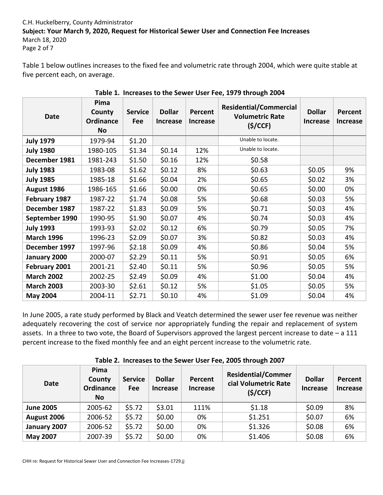# C.H. Huckelberry, County Administrator **Subject: Your March 9, 2020, Request for Historical Sewer User and Connection Fee Increases** March 18, 2020

Page 2 of 7

Table 1 below outlines increases to the fixed fee and volumetric rate through 2004, which were quite stable at five percent each, on average.

| <b>Date</b>       | Pima<br>County<br>Ordinance<br><b>No</b> | <b>Service</b><br><b>Fee</b> | <b>Dollar</b><br><b>Increase</b> | Percent<br><b>Increase</b> | <b>Residential/Commercial</b><br><b>Volumetric Rate</b><br>(S/CCF) | <b>Dollar</b><br><b>Increase</b> | Percent<br><b>Increase</b> |
|-------------------|------------------------------------------|------------------------------|----------------------------------|----------------------------|--------------------------------------------------------------------|----------------------------------|----------------------------|
| <b>July 1979</b>  | 1979-94                                  | \$1.20                       |                                  |                            | Unable to locate.                                                  |                                  |                            |
| <b>July 1980</b>  | 1980-105                                 | \$1.34                       | \$0.14                           | 12%                        | Unable to locate.                                                  |                                  |                            |
| December 1981     | 1981-243                                 | \$1.50                       | \$0.16                           | 12%                        | \$0.58                                                             |                                  |                            |
| <b>July 1983</b>  | 1983-08                                  | \$1.62                       | \$0.12                           | 8%                         | \$0.63                                                             | \$0.05                           | 9%                         |
| <b>July 1985</b>  | 1985-18                                  | \$1.66                       | \$0.04                           | 2%                         | \$0.65                                                             | \$0.02                           | 3%                         |
| August 1986       | 1986-165                                 | \$1.66                       | \$0.00                           | 0%                         | \$0.65                                                             | \$0.00                           | 0%                         |
| February 1987     | 1987-22                                  | \$1.74                       | \$0.08                           | 5%                         | \$0.68                                                             | \$0.03                           | 5%                         |
| December 1987     | 1987-22                                  | \$1.83                       | \$0.09                           | 5%                         | \$0.71                                                             | \$0.03                           | 4%                         |
| September 1990    | 1990-95                                  | \$1.90                       | \$0.07                           | 4%                         | \$0.74                                                             | \$0.03                           | 4%                         |
| <b>July 1993</b>  | 1993-93                                  | \$2.02                       | \$0.12                           | 6%                         | \$0.79                                                             | \$0.05                           | 7%                         |
| <b>March 1996</b> | 1996-23                                  | \$2.09                       | \$0.07                           | 3%                         | \$0.82                                                             | \$0.03                           | 4%                         |
| December 1997     | 1997-96                                  | \$2.18                       | \$0.09                           | 4%                         | \$0.86                                                             | \$0.04                           | 5%                         |
| January 2000      | 2000-07                                  | \$2.29                       | \$0.11                           | 5%                         | \$0.91                                                             | \$0.05                           | 6%                         |
| February 2001     | 2001-21                                  | \$2.40                       | \$0.11                           | 5%                         | \$0.96                                                             |                                  | 5%                         |
| <b>March 2002</b> | 2002-25                                  | \$2.49                       | \$0.09                           | 4%                         | \$1.00                                                             | \$0.04                           | 4%                         |
| <b>March 2003</b> | 2003-30                                  | \$2.61                       | \$0.12                           | 5%                         | \$1.05                                                             | \$0.05                           | 5%                         |
| <b>May 2004</b>   | 2004-11                                  | \$2.71                       | \$0.10                           | 4%                         | \$1.09                                                             | \$0.04                           | 4%                         |

**Table 1. Increases to the Sewer User Fee, 1979 through 2004**

In June 2005, a rate study performed by Black and Veatch determined the sewer user fee revenue was neither adequately recovering the cost of service nor appropriately funding the repair and replacement of system assets. In a three to two vote, the Board of Supervisors approved the largest percent increase to date – a 111 percent increase to the fixed monthly fee and an eight percent increase to the volumetric rate.

| <b>Date</b>      | Pima<br>County<br>Ordinance<br><b>No</b> | <b>Service</b><br>Fee | <b>Dollar</b><br>Increase | Percent<br><b>Increase</b> | <b>Residential/Commer</b><br>cial Volumetric Rate<br>(S/CCF) | <b>Dollar</b><br><b>Increase</b> | <b>Percent</b><br><b>Increase</b> |
|------------------|------------------------------------------|-----------------------|---------------------------|----------------------------|--------------------------------------------------------------|----------------------------------|-----------------------------------|
| <b>June 2005</b> | 2005-62                                  | \$5.72                | \$3.01                    | 111%                       | \$1.18                                                       | \$0.09                           | 8%                                |
| August 2006      | 2006-52                                  | \$5.72                | \$0.00                    | 0%                         | \$1.251                                                      | \$0.07                           | 6%                                |
| January 2007     | 2006-52                                  | \$5.72                | \$0.00                    | 0%                         | \$1.326                                                      | \$0.08                           | 6%                                |
| <b>May 2007</b>  | 2007-39                                  | \$5.72                | \$0.00                    | 0%                         | \$1.406                                                      | \$0.08                           | 6%                                |

**Table 2. Increases to the Sewer User Fee, 2005 through 2007**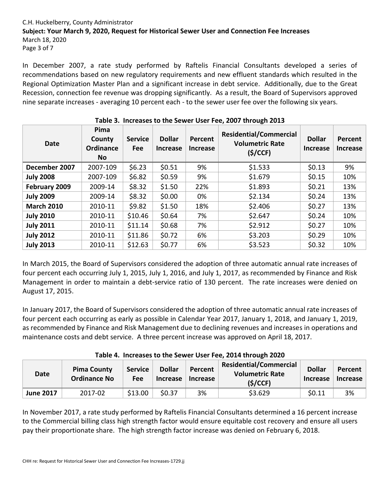# C.H. Huckelberry, County Administrator **Subject: Your March 9, 2020, Request for Historical Sewer User and Connection Fee Increases** March 18, 2020 Page 3 of 7

In December 2007, a rate study performed by Raftelis Financial Consultants developed a series of recommendations based on new regulatory requirements and new effluent standards which resulted in the Regional Optimization Master Plan and a significant increase in debt service. Additionally, due to the Great Recession, connection fee revenue was dropping significantly. As a result, the Board of Supervisors approved nine separate increases - averaging 10 percent each - to the sewer user fee over the following six years.

| <b>Date</b>       | Pima<br>County<br>Ordinance<br><b>No</b> | <b>Service</b><br><b>Fee</b> | <b>Dollar</b><br><b>Increase</b> | Percent<br><b>Increase</b> | <b>Residential/Commercial</b><br><b>Volumetric Rate</b><br>(S/CCF) | <b>Dollar</b><br><b>Increase</b> | Percent<br><b>Increase</b> |
|-------------------|------------------------------------------|------------------------------|----------------------------------|----------------------------|--------------------------------------------------------------------|----------------------------------|----------------------------|
| December 2007     | 2007-109                                 | \$6.23                       | \$0.51                           | 9%                         | \$1.533                                                            | \$0.13                           | 9%                         |
| <b>July 2008</b>  | 2007-109                                 | \$6.82                       | \$0.59                           | 9%                         | \$1.679                                                            | \$0.15                           | 10%                        |
| February 2009     | 2009-14                                  | \$8.32                       | \$1.50                           | 22%                        | \$1.893                                                            | \$0.21                           | 13%                        |
| <b>July 2009</b>  | 2009-14                                  | \$8.32                       | \$0.00                           | 0%                         | \$2.134                                                            | \$0.24                           | 13%                        |
| <b>March 2010</b> | 2010-11                                  | \$9.82                       | \$1.50                           | 18%                        | \$2.406                                                            | \$0.27                           | 13%                        |
| <b>July 2010</b>  | 2010-11                                  | \$10.46                      | \$0.64                           | 7%                         | \$2.647                                                            | \$0.24                           | 10%                        |
| <b>July 2011</b>  | 2010-11                                  | \$11.14                      | \$0.68                           | 7%                         | \$2.912                                                            | \$0.27                           | 10%                        |
| <b>July 2012</b>  | 2010-11                                  | \$11.86                      | \$0.72                           | 6%                         | \$3.203                                                            | \$0.29                           | 10%                        |
| <b>July 2013</b>  | 2010-11                                  | \$12.63                      | \$0.77                           | 6%                         | \$3.523                                                            | \$0.32                           | 10%                        |

# **Table 3. Increases to the Sewer User Fee, 2007 through 2013**

In March 2015, the Board of Supervisors considered the adoption of three automatic annual rate increases of four percent each occurring July 1, 2015, July 1, 2016, and July 1, 2017, as recommended by Finance and Risk Management in order to maintain a debt-service ratio of 130 percent. The rate increases were denied on August 17, 2015.

In January 2017, the Board of Supervisors considered the adoption of three automatic annual rate increases of four percent each occurring as early as possible in Calendar Year 2017, January 1, 2018, and January 1, 2019, as recommended by Finance and Risk Management due to declining revenues and increases in operations and maintenance costs and debt service. A three percent increase was approved on April 18, 2017.

| Date             | <b>Pima County</b><br><b>Ordinance No</b> | <b>Service</b><br><b>Fee</b> | <b>Dollar</b><br>Increase | Percent<br>Increase | <b>Residential/Commercial</b><br><b>Volumetric Rate</b><br>(S/CCF) | <b>Dollar</b><br>Increase | <b>Percent</b><br>Increase |
|------------------|-------------------------------------------|------------------------------|---------------------------|---------------------|--------------------------------------------------------------------|---------------------------|----------------------------|
| <b>June 2017</b> | 2017-02                                   | \$13.00                      | \$0.37                    | 3%                  | \$3.629                                                            | \$0.11                    | 3%                         |

# **Table 4. Increases to the Sewer User Fee, 2014 through 2020**

In November 2017, a rate study performed by Raftelis Financial Consultants determined a 16 percent increase to the Commercial billing class high strength factor would ensure equitable cost recovery and ensure all users pay their proportionate share. The high strength factor increase was denied on February 6, 2018.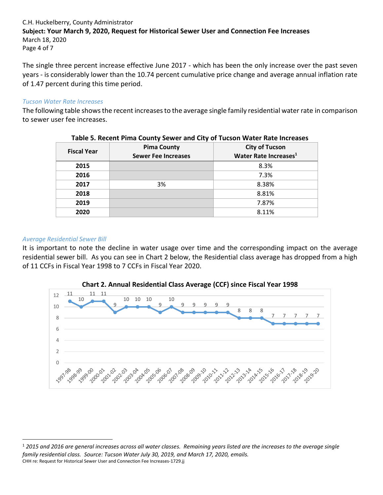# C.H. Huckelberry, County Administrator **Subject: Your March 9, 2020, Request for Historical Sewer User and Connection Fee Increases** March 18, 2020 Page 4 of 7

The single three percent increase effective June 2017 - which has been the only increase over the past seven years - is considerably lower than the 10.74 percent cumulative price change and average annual inflation rate of 1.47 percent during this time period.

### *Tucson Water Rate Increases*

The following table shows the recent increases to the average single family residential water rate in comparison to sewer user fee increases.

|                    | TUBIC STREEGING I INTU COUNTY SCHICK UND CRY OF TUCSON HURCH HUIC INCREDISC |                                   |  |  |
|--------------------|-----------------------------------------------------------------------------|-----------------------------------|--|--|
| <b>Fiscal Year</b> | <b>Pima County</b>                                                          | <b>City of Tucson</b>             |  |  |
|                    | <b>Sewer Fee Increases</b>                                                  | Water Rate Increases <sup>1</sup> |  |  |
| 2015               |                                                                             | 8.3%                              |  |  |
| 2016               |                                                                             | 7.3%                              |  |  |
| 2017               | 3%                                                                          | 8.38%                             |  |  |
| 2018               |                                                                             | 8.81%                             |  |  |
| 2019               |                                                                             | 7.87%                             |  |  |
| 2020               |                                                                             | 8.11%                             |  |  |

#### **Table 5. Recent Pima County Sewer and City of Tucson Water Rate Increases**

### *Average Residential Sewer Bill*

 $\overline{\phantom{a}}$ 

It is important to note the decline in water usage over time and the corresponding impact on the average residential sewer bill. As you can see in Chart 2 below, the Residential class average has dropped from a high of 11 CCFs in Fiscal Year 1998 to 7 CCFs in Fiscal Year 2020.





CHH re: Request for Historical Sewer User and Connection Fee Increases-1729.jj <sup>1</sup> *2015 and 2016 are general increases across all water classes. Remaining years listed are the increases to the average single family residential class. Source: Tucson Water July 30, 2019, and March 17, 2020, emails.*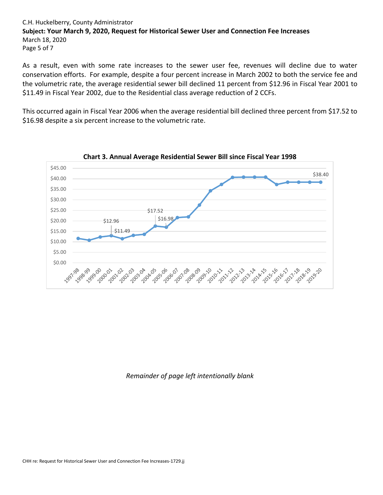# C.H. Huckelberry, County Administrator **Subject: Your March 9, 2020, Request for Historical Sewer User and Connection Fee Increases** March 18, 2020 Page 5 of 7

As a result, even with some rate increases to the sewer user fee, revenues will decline due to water conservation efforts. For example, despite a four percent increase in March 2002 to both the service fee and the volumetric rate, the average residential sewer bill declined 11 percent from \$12.96 in Fiscal Year 2001 to \$11.49 in Fiscal Year 2002, due to the Residential class average reduction of 2 CCFs.

This occurred again in Fiscal Year 2006 when the average residential bill declined three percent from \$17.52 to \$16.98 despite a six percent increase to the volumetric rate.



**Chart 3. Annual Average Residential Sewer Bill since Fiscal Year 1998**

*Remainder of page left intentionally blank*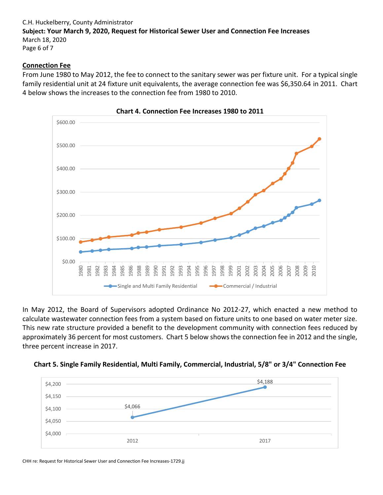# C.H. Huckelberry, County Administrator **Subject: Your March 9, 2020, Request for Historical Sewer User and Connection Fee Increases** March 18, 2020 Page 6 of 7

### **Connection Fee**

From June 1980 to May 2012, the fee to connect to the sanitary sewer was per fixture unit. For a typical single family residential unit at 24 fixture unit equivalents, the average connection fee was \$6,350.64 in 2011. Chart 4 below shows the increases to the connection fee from 1980 to 2010.



**Chart 4. Connection Fee Increases 1980 to 2011**

In May 2012, the Board of Supervisors adopted Ordinance No 2012-27, which enacted a new method to calculate wastewater connection fees from a system based on fixture units to one based on water meter size. This new rate structure provided a benefit to the development community with connection fees reduced by approximately 36 percent for most customers. Chart 5 below shows the connection fee in 2012 and the single, three percent increase in 2017.





CHH re: Request for Historical Sewer User and Connection Fee Increases-1729.jj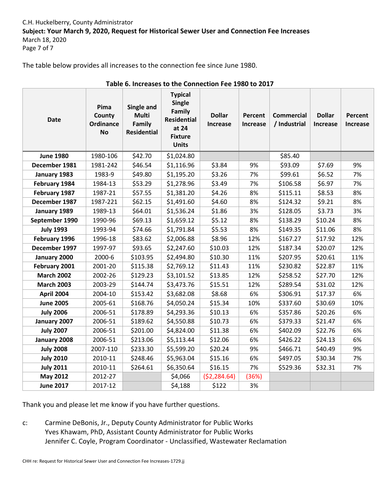# C.H. Huckelberry, County Administrator **Subject: Your March 9, 2020, Request for Historical Sewer User and Connection Fee Increases** March 18, 2020 Page 7 of 7

The table below provides all increases to the connection fee since June 1980.

| Table 0. The eases to the connection Fee 1960 to 2017 |                                                 |                                                            |                                                                                                            |                                  |                     |                                   |                                  |                            |
|-------------------------------------------------------|-------------------------------------------------|------------------------------------------------------------|------------------------------------------------------------------------------------------------------------|----------------------------------|---------------------|-----------------------------------|----------------------------------|----------------------------|
| <b>Date</b>                                           | Pima<br>County<br><b>Ordinance</b><br><b>No</b> | Single and<br><b>Multi</b><br>Family<br><b>Residential</b> | <b>Typical</b><br><b>Single</b><br>Family<br><b>Residential</b><br>at 24<br><b>Fixture</b><br><b>Units</b> | <b>Dollar</b><br><b>Increase</b> | Percent<br>Increase | <b>Commercial</b><br>/ Industrial | <b>Dollar</b><br><b>Increase</b> | Percent<br><b>Increase</b> |
| <b>June 1980</b>                                      | 1980-106                                        | \$42.70                                                    | \$1,024.80                                                                                                 |                                  |                     | \$85.40                           |                                  |                            |
| December 1981                                         | 1981-242                                        | \$46.54                                                    | \$1,116.96                                                                                                 | \$3.84                           | 9%                  | \$93.09                           | \$7.69                           | 9%                         |
| January 1983                                          | 1983-9                                          | \$49.80                                                    | \$1,195.20                                                                                                 | \$3.26                           | 7%                  | \$99.61                           | \$6.52                           | 7%                         |
| February 1984                                         | 1984-13                                         | \$53.29                                                    | \$1,278.96                                                                                                 | \$3.49                           | 7%                  | \$106.58                          | \$6.97                           | 7%                         |
| February 1987                                         | 1987-21                                         | \$57.55                                                    | \$1,381.20                                                                                                 | \$4.26                           | 8%                  | \$115.11                          | \$8.53                           | 8%                         |
| December 1987                                         | 1987-221                                        | \$62.15                                                    | \$1,491.60                                                                                                 | \$4.60                           | 8%                  | \$124.32                          | \$9.21                           | 8%                         |
| January 1989                                          | 1989-13                                         | \$64.01                                                    | \$1,536.24                                                                                                 | \$1.86                           | 3%                  | \$128.05                          | \$3.73                           | 3%                         |
| September 1990                                        | 1990-96                                         | \$69.13                                                    | \$1,659.12                                                                                                 | \$5.12                           | 8%                  | \$138.29                          | \$10.24                          | 8%                         |
| <b>July 1993</b>                                      | 1993-94                                         | \$74.66                                                    | \$1,791.84                                                                                                 | \$5.53                           | 8%                  | \$149.35                          | \$11.06                          | 8%                         |
| February 1996                                         | 1996-18                                         | \$83.62                                                    | \$2,006.88                                                                                                 | \$8.96                           | 12%                 | \$167.27                          | \$17.92                          | 12%                        |
| December 1997                                         | 1997-97                                         | \$93.65                                                    | \$2,247.60                                                                                                 | \$10.03                          | 12%                 | \$187.34                          | \$20.07                          | 12%                        |
| January 2000                                          | 2000-6                                          | \$103.95                                                   | \$2,494.80                                                                                                 | \$10.30                          | 11%                 | \$207.95                          | \$20.61                          | 11%                        |
| February 2001                                         | 2001-20                                         | \$115.38                                                   | \$2,769.12                                                                                                 | \$11.43                          | 11%                 | \$230.82                          | \$22.87                          | 11%                        |
| <b>March 2002</b>                                     | 2002-26                                         | \$129.23                                                   | \$3,101.52                                                                                                 | \$13.85                          | 12%                 | \$258.52                          | \$27.70                          | 12%                        |
| <b>March 2003</b>                                     | 2003-29                                         | \$144.74                                                   | \$3,473.76                                                                                                 | \$15.51                          | 12%                 | \$289.54                          | \$31.02                          | 12%                        |
| <b>April 2004</b>                                     | 2004-10                                         | \$153.42                                                   | \$3,682.08                                                                                                 | \$8.68                           | 6%                  | \$306.91                          | \$17.37                          | 6%                         |
| <b>June 2005</b>                                      | 2005-61                                         | \$168.76                                                   | \$4,050.24                                                                                                 | \$15.34                          | 10%                 | \$337.60                          | \$30.69                          | 10%                        |
| <b>July 2006</b>                                      | 2006-51                                         | \$178.89                                                   | \$4,293.36                                                                                                 | \$10.13                          | 6%                  | \$357.86                          | \$20.26                          | 6%                         |
| January 2007                                          | 2006-51                                         | \$189.62                                                   | \$4,550.88                                                                                                 | \$10.73                          | 6%                  | \$379.33                          | \$21.47                          | 6%                         |
| <b>July 2007</b>                                      | 2006-51                                         | \$201.00                                                   | \$4,824.00                                                                                                 | \$11.38                          | 6%                  | \$402.09                          | \$22.76                          | 6%                         |
| January 2008                                          | 2006-51                                         | \$213.06                                                   | \$5,113.44                                                                                                 | \$12.06                          | 6%                  | \$426.22                          | \$24.13                          | 6%                         |
| <b>July 2008</b>                                      | 2007-110                                        | \$233.30                                                   | \$5,599.20                                                                                                 | \$20.24                          | 9%                  | \$466.71                          | \$40.49                          | 9%                         |
| <b>July 2010</b>                                      | 2010-11                                         | \$248.46                                                   | \$5,963.04                                                                                                 | \$15.16                          | 6%                  | \$497.05                          | \$30.34                          | 7%                         |
| <b>July 2011</b>                                      | 2010-11                                         | \$264.61                                                   | \$6,350.64                                                                                                 | \$16.15                          | 7%                  | \$529.36                          | \$32.31                          | 7%                         |
| <b>May 2012</b>                                       | 2012-27                                         |                                                            | \$4,066                                                                                                    | (\$2,284.64)                     | (36%)               |                                   |                                  |                            |
| <b>June 2017</b>                                      | 2017-12                                         |                                                            | \$4,188                                                                                                    | \$122                            | 3%                  |                                   |                                  |                            |

**Table 6. Increases to the Connection Fee 1980 to 2017**

Thank you and please let me know if you have further questions.

c: Carmine DeBonis, Jr., Deputy County Administrator for Public Works Yves Khawam, PhD, Assistant County Administrator for Public Works Jennifer C. Coyle, Program Coordinator - Unclassified, Wastewater Reclamation